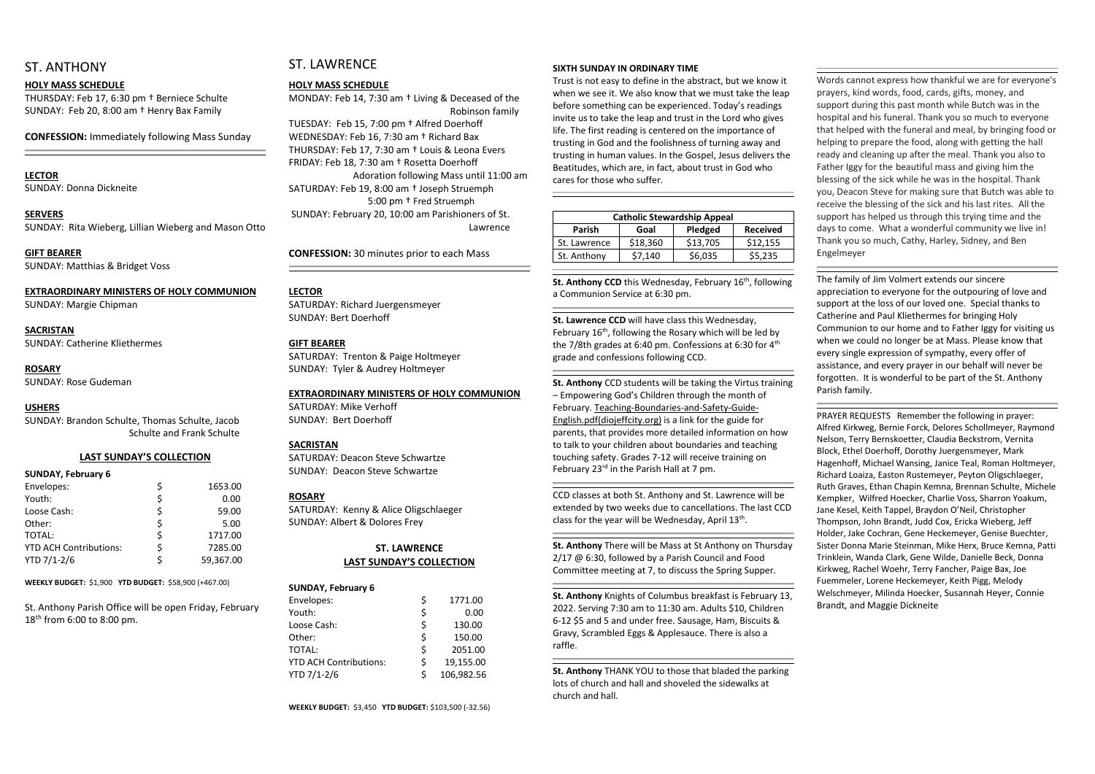### ST. ANTHONY

#### **HOLY MASS SCHEDULE**

THURSDAY: Feb 17, 6:30 pm † Berniece Schulte SUNDAY: Feb 20, 8:00 am † Henry Bax Family

**CONFESSION:** Immediately following Mass Sunday

#### **LECTOR**

SUNDAY: Donna Dickneite

#### **SERVERS**

SUNDAY: Rita Wieberg, Lillian Wieberg and Mason Otto

#### **GIFT BEARER**

SUNDAY: Matthias & Bridget Voss

#### **EXTRAORDINARY MINISTERS OF HOLY COMMUNION**

SUNDAY: Margie Chipman

#### **SACRISTAN** SUNDAY: Catherine Kliethermes

**ROSARY**  SUNDAY: Rose Gudeman

#### **USHERS**

SUNDAY: Brandon Schulte, Thomas Schulte, Jacob Schulte and Frank Schulte

#### **LAST SUNDAY'S COLLECTION**

#### **SUNDAY, February 6**

| Envelopes:                    |   | 1653.00   |
|-------------------------------|---|-----------|
| Youth:                        | Ś | 0.00      |
| Loose Cash:                   |   | 59.00     |
| Other:                        |   | 5.00      |
| TOTAL:                        | S | 1717.00   |
| <b>YTD ACH Contributions:</b> | S | 7285.00   |
| YTD 7/1-2/6                   |   | 59,367.00 |

**WEEKLY BUDGET:** \$1,900 **YTD BUDGET:** \$58,900 (+467.00)

St. Anthony Parish Office will be open Friday, February 18 th from 6:00 to 8:00 pm.

## ST. LAWRENCE

#### **HOLY MASS SCHEDULE**

MONDAY: Feb 14, 7:30 am † Living & Deceased of the Robinson family

TUESDAY: Feb 15, 7:00 pm † Alfred Doerhoff WEDNESDAY: Feb 16, 7:30 am † Richard Bax THURSDAY: Feb 17, 7:30 am † Louis & Leona Evers FRIDAY: Feb 18, 7:30 am † Rosetta Doerhoff Adoration following Mass until 11:00 am SATURDAY: Feb 19, 8:00 am † Joseph Struemph 5:00 pm † Fred Struemph SUNDAY: February 20, 10:00 am Parishioners of St. Lawrence

**CONFESSION:** 30 minutes prior to each Mass

#### **LECTOR**

St. Anthony CCD this Wednesday, February 16<sup>th</sup>, following a Communion Service at 6:30 pm.

SATURDAY: Richard Juergensmeyer SUNDAY: Bert Doerhoff

#### **GIFT BEARER**

SATURDAY: Trenton & Paige Holtmeyer SUNDAY: Tyler & Audrey Holtmeyer

February 16<sup>th</sup>, following the Rosary which will be led by the 7/8th grades at 6:40 pm. Confessions at 6:30 for 4<sup>th</sup> grade and confessions following CCD.

**St. Anthony** CCD students will be taking the Virtus training – Empowering God's Children through the month of February. Teaching-Boundaries-and-Safety-Guide-English.pdf(diojeffcity.org) is a link for the guide for parents, that provides more detailed information on how to talk to your children about boundaries and teaching touching safety. Grades 7-12 will receive training on February 23 $^{rd}$  in the Parish Hall at 7 pm.

#### **EXTRAORDINARY MINISTERS OF HOLY COMMUNION**

SATURDAY: Mike Verhoff SUNDAY: Bert Doerhoff

#### **SACRISTAN**

SATURDAY: Deacon Steve Schwartze SUNDAY: Deacon Steve Schwartze

#### **ROSARY**

CCD classes at both St. Anthony and St. Lawrence will be extended by two weeks due to cancellations. The last CCD class for the year will be Wednesday, April 13<sup>th</sup>.

SATURDAY: Kenny & Alice Oligschlaeger SUNDAY: Albert & Dolores Frey

#### **ST. LAWRENCE LAST SUNDAY'S COLLECTION**

| <b>SUNDAY, February 6</b>     |    |            |
|-------------------------------|----|------------|
| Envelopes:                    | \$ | 1771.00    |
| Youth:                        | \$ | 0.00       |
| Loose Cash:                   | Ś  | 130.00     |
| Other:                        | \$ | 150.00     |
| <b>TOTAL:</b>                 | \$ | 2051.00    |
| <b>YTD ACH Contributions:</b> | Ś  | 19,155.00  |
| YTD 7/1-2/6                   | Ś  | 106,982.56 |

#### **WEEKLY BUDGET:** \$3,450 **YTD BUDGET:** \$103,500 (-32.56)

#### **SIXTH SUNDAY IN ORDINARY TIME**

Trust is not easy to define in the abstract, but we know it when we see it. We also know that we must take the leap before something can be experienced. Today's readings invite us to take the leap and trust in the Lord who gives life. The first reading is centered on the importance of trusting in God and the foolishness of turning away and trusting in human values. In the Gospel, Jesus delivers the Beatitudes, which are, in fact, about trust in God who cares for those who suffer.

| <b>Catholic Stewardship Appeal</b> |          |          |                 |  |  |  |
|------------------------------------|----------|----------|-----------------|--|--|--|
| <b>Parish</b>                      | Goal     | Pledged  | <b>Received</b> |  |  |  |
| St. Lawrence                       | \$18,360 | \$13,705 | \$12,155        |  |  |  |
| St. Anthony                        | \$7,140  | \$6,035  | \$5.235         |  |  |  |

#### **St. Lawrence CCD** will have class this Wednesday,

**St. Anthony** There will be Mass at St Anthony on Thursday 2/17 @ 6:30, followed by a Parish Council and Food Committee meeting at 7, to discuss the Spring Supper.

**St. Anthony** Knights of Columbus breakfast is February 13, 2022. Serving 7:30 am to 11:30 am. Adults \$10, Children 6-12 \$5 and 5 and under free. Sausage, Ham, Biscuits & Gravy, Scrambled Eggs & Applesauce. There is also a raffle.

**St. Anthony** THANK YOU to those that bladed the parking lots of church and hall and shoveled the sidewalks at church and hall.

Words cannot express how thankful we are for everyone's prayers, kind words, food, cards, gifts, money, and support during this past month while Butch was in the hospital and his funeral. Thank you so much to everyone that helped with the funeral and meal, by bringing food or helping to prepare the food, along with getting the hall ready and cleaning up after the meal. Thank you also to Father Iggy for the beautiful mass and giving him the blessing of the sick while he was in the hospital. Thank you, Deacon Steve for making sure that Butch was able to receive the blessing of the sick and his last rites. All the support has helped us through this trying time and the days to come. What a wonderful community we live in! Thank you so much, Cathy, Harley, Sidney, and Ben Engelmeyer

The family of Jim Volmert extends our sincere appreciation to everyone for the outpouring of love and support at the loss of our loved one. Special thanks to Catherine and Paul Kliethermes for bringing Holy Communion to our home and to Father Iggy for visiting us when we could no longer be at Mass. Please know that every single expression of sympathy, every offer of assistance, and every prayer in our behalf will never be forgotten. It is wonderful to be part of the St. Anthony Parish family.

PRAYER REQUESTS Remember the following in prayer: Alfred Kirkweg, Bernie Forck, Delores Schollmeyer, Raymond Nelson, Terry Bernskoetter, Claudia Beckstrom, Vernita Block, Ethel Doerhoff, Dorothy Juergensmeyer, Mark Hagenhoff, Michael Wansing, Janice Teal, Roman Holtmeyer, Richard Loaiza, Easton Rustemeyer, Peyton Oligschlaeger, Ruth Graves, Ethan Chapin Kemna, Brennan Schulte, Michele Kempker, Wilfred Hoecker, Charlie Voss, Sharron Yoakum, Jane Kesel, Keith Tappel, Braydon O'Neil, Christopher Thompson, John Brandt, Judd Cox, Ericka Wieberg, Jeff Holder, Jake Cochran, Gene Heckemeyer, Genise Buechter, Sister Donna Marie Steinman, Mike Herx, Bruce Kemna, Patti Trinklein, Wanda Clark, Gene Wilde, Danielle Beck, Donna Kirkweg, Rachel Woehr, Terry Fancher, Paige Bax, Joe Fuemmeler, Lorene Heckemeyer, Keith Pigg, Melody Welschmeyer, Milinda Hoecker, Susannah Heyer, Connie Brandt, and Maggie Dickneite